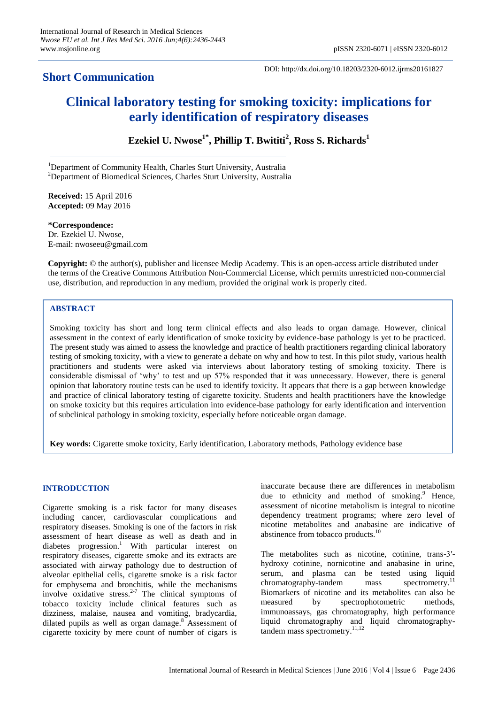# **Short Communication**

DOI: http://dx.doi.org/10.18203/2320-6012.ijrms20161827

# **Clinical laboratory testing for smoking toxicity: implications for early identification of respiratory diseases**

**Ezekiel U. Nwose1\* , Phillip T. Bwititi<sup>2</sup> , Ross S. Richards<sup>1</sup>**

<sup>1</sup>Department of Community Health, Charles Sturt University, Australia <sup>2</sup>Department of Biomedical Sciences, Charles Sturt University, Australia

**Received:** 15 April 2016 **Accepted:** 09 May 2016

**\*Correspondence:** Dr. Ezekiel U. Nwose, E-mail: nwoseeu@gmail.com

**Copyright:** © the author(s), publisher and licensee Medip Academy. This is an open-access article distributed under the terms of the Creative Commons Attribution Non-Commercial License, which permits unrestricted non-commercial use, distribution, and reproduction in any medium, provided the original work is properly cited.

## **ABSTRACT**

Smoking toxicity has short and long term clinical effects and also leads to organ damage. However, clinical assessment in the context of early identification of smoke toxicity by evidence-base pathology is yet to be practiced. The present study was aimed to assess the knowledge and practice of health practitioners regarding clinical laboratory testing of smoking toxicity, with a view to generate a debate on why and how to test. In this pilot study, various health practitioners and students were asked via interviews about laboratory testing of smoking toxicity. There is considerable dismissal of "why" to test and up 57% responded that it was unnecessary. However, there is general opinion that laboratory routine tests can be used to identify toxicity. It appears that there is a gap between knowledge and practice of clinical laboratory testing of cigarette toxicity. Students and health practitioners have the knowledge on smoke toxicity but this requires articulation into evidence-base pathology for early identification and intervention of subclinical pathology in smoking toxicity, especially before noticeable organ damage.

**Key words:** Cigarette smoke toxicity, Early identification, Laboratory methods, Pathology evidence base

#### **INTRODUCTION**

Cigarette smoking is a risk factor for many diseases including cancer, cardiovascular complications and respiratory diseases. Smoking is one of the factors in risk assessment of heart disease as well as death and in diabetes progression. <sup>1</sup> With particular interest on respiratory diseases, cigarette smoke and its extracts are associated with airway pathology due to destruction of alveolar epithelial cells, cigarette smoke is a risk factor for emphysema and bronchitis, while the mechanisms involve oxidative stress.<sup>2-7</sup> The clinical symptoms of tobacco toxicity include clinical features such as dizziness, malaise, nausea and vomiting, bradycardia, dilated pupils as well as organ damage.<sup>8</sup> Assessment of cigarette toxicity by mere count of number of cigars is inaccurate because there are differences in metabolism due to ethnicity and method of smoking.<sup>9</sup> Hence, assessment of nicotine metabolism is integral to nicotine dependency treatment programs; where zero level of nicotine metabolites and anabasine are indicative of abstinence from tobacco products.<sup>10</sup>

The metabolites such as nicotine, cotinine, trans-3'hydroxy cotinine, nornicotine and anabasine in urine, serum, and plasma can be tested using liquid chromatography-tandem mass spectrometry.<sup>11</sup> Biomarkers of nicotine and its metabolites can also be measured by spectrophotometric methods, immunoassays, gas chromatography, high performance liquid chromatography and liquid chromatographytandem mass spectrometry. 11,12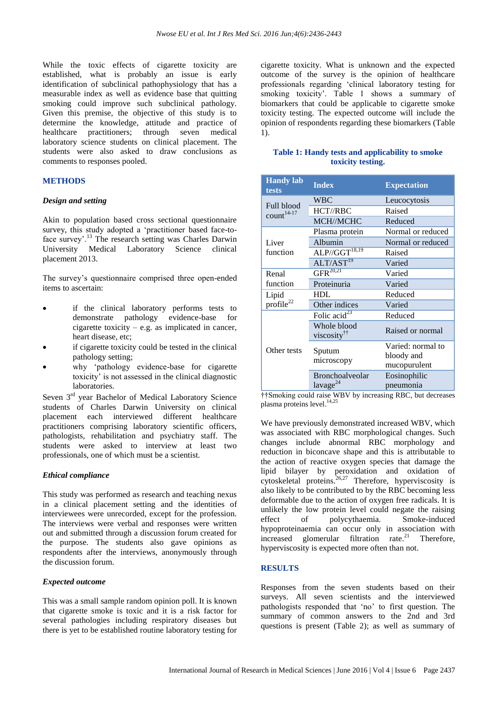While the toxic effects of cigarette toxicity are established, what is probably an issue is early identification of subclinical pathophysiology that has a measurable index as well as evidence base that quitting smoking could improve such subclinical pathology. Given this premise, the objective of this study is to determine the knowledge, attitude and practice of healthcare practitioners; through seven medical laboratory science students on clinical placement. The students were also asked to draw conclusions as comments to responses pooled.

### **METHODS**

#### *Design and setting*

Akin to population based cross sectional questionnaire survey, this study adopted a "practitioner based face-toface survey'.<sup>13</sup> The research setting was Charles Darwin University Medical Laboratory Science clinical placement 2013.

The survey"s questionnaire comprised three open-ended items to ascertain:

- if the clinical laboratory performs tests to demonstrate pathology evidence-base for cigarette toxicity – e.g. as implicated in cancer, heart disease, etc;
- if cigarette toxicity could be tested in the clinical pathology setting;
- why "pathology evidence-base for cigarette toxicity' is not assessed in the clinical diagnostic laboratories.

Seven 3<sup>rd</sup> year Bachelor of Medical Laboratory Science students of Charles Darwin University on clinical placement each interviewed different healthcare practitioners comprising laboratory scientific officers, pathologists, rehabilitation and psychiatry staff. The students were asked to interview at least two professionals, one of which must be a scientist.

#### *Ethical compliance*

This study was performed as research and teaching nexus in a clinical placement setting and the identities of interviewees were unrecorded, except for the profession. The interviews were verbal and responses were written out and submitted through a discussion forum created for the purpose. The students also gave opinions as respondents after the interviews, anonymously through the discussion forum.

#### *Expected outcome*

This was a small sample random opinion poll. It is known that cigarette smoke is toxic and it is a risk factor for several pathologies including respiratory diseases but there is yet to be established routine laboratory testing for cigarette toxicity. What is unknown and the expected outcome of the survey is the opinion of healthcare professionals regarding "clinical laboratory testing for smoking toxicity". Table 1 shows a summary of biomarkers that could be applicable to cigarette smoke toxicity testing. The expected outcome will include the opinion of respondents regarding these biomarkers (Table 1).

#### **Table 1: Handy tests and applicability to smoke toxicity testing.**

| <b>Handy lab</b><br>tests                   | <b>Index</b>                                                            | <b>Expectation</b>                                                                                  |
|---------------------------------------------|-------------------------------------------------------------------------|-----------------------------------------------------------------------------------------------------|
| <b>Full blood</b><br>count <sup>14-17</sup> | <b>WBC</b>                                                              | Leucocytosis                                                                                        |
|                                             | HCT//RBC                                                                | Raised                                                                                              |
|                                             | MCH//MCHC                                                               | Reduced                                                                                             |
| Liver<br>function                           | Plasma protein                                                          | Normal or reduced                                                                                   |
|                                             | Albumin                                                                 | Normal or reduced                                                                                   |
|                                             | $ALP/GGT^{18,19}$                                                       | Raised                                                                                              |
|                                             | ALT/AST <sup>19</sup>                                                   | Varied                                                                                              |
| Renal                                       | $GFR^{20,21}$                                                           | Varied                                                                                              |
| function                                    | Proteinuria                                                             | Varied                                                                                              |
| Lipid<br>$\text{profile}^{22}$              | <b>HDL</b>                                                              | Reduced                                                                                             |
|                                             | Other indices                                                           | Varied                                                                                              |
| Other tests                                 | Folic acid <sup>23</sup>                                                | Reduced                                                                                             |
|                                             | Whole blood<br>viscosity <sup>††</sup>                                  | Raised or normal                                                                                    |
|                                             |                                                                         | Varied: normal to                                                                                   |
|                                             | Sputum<br>microscopy                                                    | bloody and                                                                                          |
|                                             |                                                                         | mucopurulent                                                                                        |
|                                             | Bronchoalveolar                                                         | Eosinophilic                                                                                        |
|                                             | lavage <sup>24</sup><br>$AA$ Carried and results and a $MDM$ for $\sim$ | pneumonia<br>$\mathbf{L} = \mathbf{D} \mathbf{D} \mathbf{C}$ , $\mathbf{L} = \mathbf{L} \mathbf{L}$ |

††Smoking could raise WBV by increasing RBC, but decreases plasma proteins level. 14,25

We have previously demonstrated increased WBV, which was associated with RBC morphological changes. Such changes include abnormal RBC morphology and reduction in biconcave shape and this is attributable to the action of reactive oxygen species that damage the lipid bilayer by peroxidation and oxidation of cytoskeletal proteins.<sup>26,27</sup> Therefore, hyperviscosity is also likely to be contributed to by the RBC becoming less deformable due to the action of oxygen free radicals. It is unlikely the low protein level could negate the raising effect of polycythaemia. Smoke-induced hypoproteinaemia can occur only in association with increased glomerular filtration rate. <sup>21</sup> Therefore, hyperviscosity is expected more often than not.

#### **RESULTS**

Responses from the seven students based on their surveys. All seven scientists and the interviewed pathologists responded that "no" to first question. The summary of common answers to the 2nd and 3rd questions is present (Table 2); as well as summary of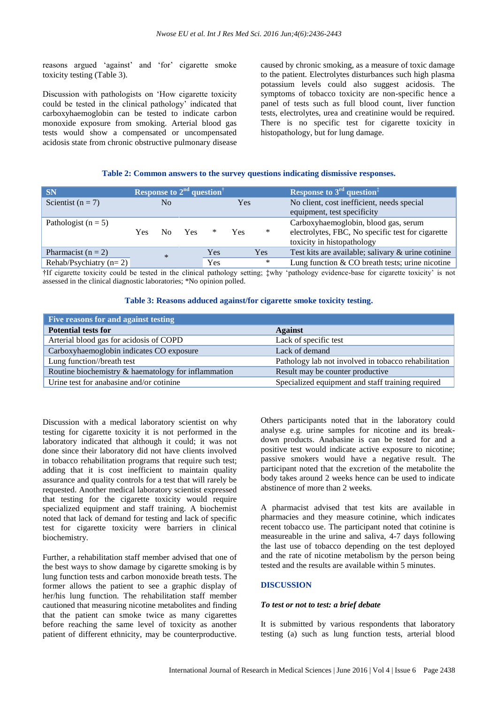reasons argued "against" and "for" cigarette smoke toxicity testing (Table 3).

Discussion with pathologists on "How cigarette toxicity could be tested in the clinical pathology" indicated that carboxyhaemoglobin can be tested to indicate carbon monoxide exposure from smoking. Arterial blood gas tests would show a compensated or uncompensated acidosis state from chronic obstructive pulmonary disease caused by chronic smoking, as a measure of toxic damage to the patient. Electrolytes disturbances such high plasma potassium levels could also suggest acidosis. The symptoms of tobacco toxicity are non-specific hence a panel of tests such as full blood count, liver function tests, electrolytes, urea and creatinine would be required. There is no specific test for cigarette toxicity in histopathology, but for lung damage.

#### **Table 2: Common answers to the survey questions indicating dismissive responses.**

| <b>SN</b>                  | Response to $2nd$ question <sup>†</sup> |                |     |     |     |                                                   | Response to $3^{rd}$ question <sup><math>\ddagger</math></sup> |
|----------------------------|-----------------------------------------|----------------|-----|-----|-----|---------------------------------------------------|----------------------------------------------------------------|
| Scientist ( $n = 7$ )      |                                         | N <sub>0</sub> |     |     | Yes |                                                   | No client, cost inefficient, needs special                     |
|                            |                                         |                |     |     |     |                                                   | equipment, test specificity                                    |
| Pathologist ( $n = 5$ )    |                                         |                |     |     |     |                                                   | Carboxyhaemoglobin, blood gas, serum                           |
|                            | Yes.                                    | $N_{\Omega}$   | Yes | ∗   | Yes | $\ast$                                            | electrolytes, FBC, No specific test for cigarette              |
|                            |                                         |                |     |     |     |                                                   | toxicity in histopathology                                     |
| Pharmacist $(n = 2)$       |                                         | $\ast$         |     | Yes |     | Yes                                               | Test kits are available; salivary & urine cotinine             |
| Rehab/Psychiatry ( $n=2$ ) |                                         |                | Yes |     | ∗   | Lung function $& CO$ breath tests; urine nicotine |                                                                |

†If cigarette toxicity could be tested in the clinical pathology setting; ‡why "pathology evidence-base for cigarette toxicity" is not assessed in the clinical diagnostic laboratories; \*No opinion polled.

#### **Table 3: Reasons adduced against/for cigarette smoke toxicity testing.**

| Five reasons for and against testing                |                                                      |  |  |  |  |
|-----------------------------------------------------|------------------------------------------------------|--|--|--|--|
| <b>Potential tests for</b>                          | <b>Against</b>                                       |  |  |  |  |
| Arterial blood gas for acidosis of COPD             | Lack of specific test                                |  |  |  |  |
| Carboxyhaemoglobin indicates CO exposure            | Lack of demand                                       |  |  |  |  |
| Lung function//breath test                          | Pathology lab not involved in tobacco rehabilitation |  |  |  |  |
| Routine biochemistry & haematology for inflammation | Result may be counter productive                     |  |  |  |  |
| Urine test for anabasine and/or cotinine            | Specialized equipment and staff training required    |  |  |  |  |

Discussion with a medical laboratory scientist on why testing for cigarette toxicity it is not performed in the laboratory indicated that although it could; it was not done since their laboratory did not have clients involved in tobacco rehabilitation programs that require such test; adding that it is cost inefficient to maintain quality assurance and quality controls for a test that will rarely be requested. Another medical laboratory scientist expressed that testing for the cigarette toxicity would require specialized equipment and staff training. A biochemist noted that lack of demand for testing and lack of specific test for cigarette toxicity were barriers in clinical biochemistry.

Further, a rehabilitation staff member advised that one of the best ways to show damage by cigarette smoking is by lung function tests and carbon monoxide breath tests. The former allows the patient to see a graphic display of her/his lung function. The rehabilitation staff member cautioned that measuring nicotine metabolites and finding that the patient can smoke twice as many cigarettes before reaching the same level of toxicity as another patient of different ethnicity, may be counterproductive. Others participants noted that in the laboratory could analyse e.g. urine samples for nicotine and its breakdown products. Anabasine is can be tested for and a positive test would indicate active exposure to nicotine; passive smokers would have a negative result. The participant noted that the excretion of the metabolite the body takes around 2 weeks hence can be used to indicate abstinence of more than 2 weeks.

A pharmacist advised that test kits are available in pharmacies and they measure cotinine, which indicates recent tobacco use. The participant noted that cotinine is measureable in the urine and saliva, 4-7 days following the last use of tobacco depending on the test deployed and the rate of nicotine metabolism by the person being tested and the results are available within 5 minutes.

#### **DISCUSSION**

#### *To test or not to test: a brief debate*

It is submitted by various respondents that laboratory testing (a) such as lung function tests, arterial blood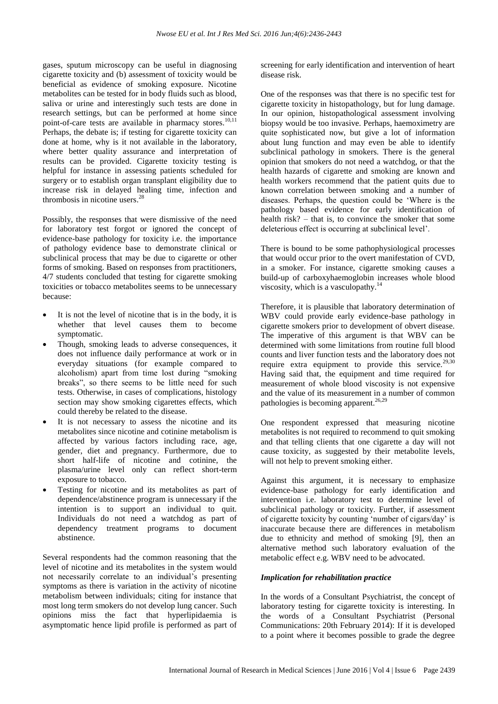gases, sputum microscopy can be useful in diagnosing cigarette toxicity and (b) assessment of toxicity would be beneficial as evidence of smoking exposure. Nicotine metabolites can be tested for in body fluids such as blood, saliva or urine and interestingly such tests are done in research settings, but can be performed at home since point-of-care tests are available in pharmacy stores.<sup>10,11</sup> Perhaps, the debate is; if testing for cigarette toxicity can done at home, why is it not available in the laboratory, where better quality assurance and interpretation of results can be provided. Cigarette toxicity testing is helpful for instance in assessing patients scheduled for surgery or to establish organ transplant eligibility due to increase risk in delayed healing time, infection and thrombosis in nicotine users. 28

Possibly, the responses that were dismissive of the need for laboratory test forgot or ignored the concept of evidence-base pathology for toxicity i.e. the importance of pathology evidence base to demonstrate clinical or subclinical process that may be due to cigarette or other forms of smoking. Based on responses from practitioners, 4/7 students concluded that testing for cigarette smoking toxicities or tobacco metabolites seems to be unnecessary because:

- It is not the level of nicotine that is in the body, it is whether that level causes them to become symptomatic.
- Though, smoking leads to adverse consequences, it does not influence daily performance at work or in everyday situations (for example compared to alcoholism) apart from time lost during "smoking breaks", so there seems to be little need for such tests. Otherwise, in cases of complications, histology section may show smoking cigarettes effects, which could thereby be related to the disease.
- It is not necessary to assess the nicotine and its metabolites since nicotine and cotinine metabolism is affected by various factors including race, age, gender, diet and pregnancy. Furthermore, due to short half-life of nicotine and cotinine, the plasma/urine level only can reflect short-term exposure to tobacco.
- Testing for nicotine and its metabolites as part of dependence/abstinence program is unnecessary if the intention is to support an individual to quit. Individuals do not need a watchdog as part of dependency treatment programs to document abstinence.

Several respondents had the common reasoning that the level of nicotine and its metabolites in the system would not necessarily correlate to an individual"s presenting symptoms as there is variation in the activity of nicotine metabolism between individuals; citing for instance that most long term smokers do not develop lung cancer. Such opinions miss the fact that hyperlipidaemia is asymptomatic hence lipid profile is performed as part of screening for early identification and intervention of heart disease risk.

One of the responses was that there is no specific test for cigarette toxicity in histopathology, but for lung damage. In our opinion, histopathological assessment involving biopsy would be too invasive. Perhaps, haemoximetry are quite sophisticated now, but give a lot of information about lung function and may even be able to identify subclinical pathology in smokers. There is the general opinion that smokers do not need a watchdog, or that the health hazards of cigarette and smoking are known and health workers recommend that the patient quits due to known correlation between smoking and a number of diseases. Perhaps, the question could be "Where is the pathology based evidence for early identification of health risk? – that is, to convince the smoker that some deleterious effect is occurring at subclinical level".

There is bound to be some pathophysiological processes that would occur prior to the overt manifestation of CVD, in a smoker. For instance, cigarette smoking causes a build-up of carboxyhaemoglobin increases whole blood viscosity, which is a vasculopathy. 14

Therefore, it is plausible that laboratory determination of WBV could provide early evidence-base pathology in cigarette smokers prior to development of obvert disease. The imperative of this argument is that WBV can be determined with some limitations from routine full blood counts and liver function tests and the laboratory does not require extra equipment to provide this service. $29,30$ Having said that, the equipment and time required for measurement of whole blood viscosity is not expensive and the value of its measurement in a number of common pathologies is becoming apparent.<sup>26,29</sup>

One respondent expressed that measuring nicotine metabolites is not required to recommend to quit smoking and that telling clients that one cigarette a day will not cause toxicity, as suggested by their metabolite levels, will not help to prevent smoking either.

Against this argument, it is necessary to emphasize evidence-base pathology for early identification and intervention i.e. laboratory test to determine level of subclinical pathology or toxicity. Further, if assessment of cigarette toxicity by counting "number of cigars/day" is inaccurate because there are differences in metabolism due to ethnicity and method of smoking [9], then an alternative method such laboratory evaluation of the metabolic effect e.g. WBV need to be advocated.

#### *Implication for rehabilitation practice*

In the words of a Consultant Psychiatrist, the concept of laboratory testing for cigarette toxicity is interesting. In the words of a Consultant Psychiatrist (Personal Communications: 20th February 2014): If it is developed to a point where it becomes possible to grade the degree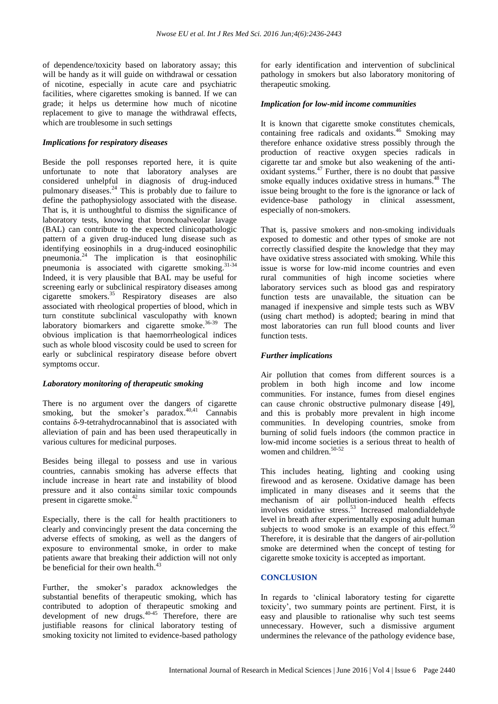of dependence/toxicity based on laboratory assay; this will be handy as it will guide on withdrawal or cessation of nicotine, especially in acute care and psychiatric facilities, where cigarettes smoking is banned. If we can grade; it helps us determine how much of nicotine replacement to give to manage the withdrawal effects, which are troublesome in such settings

#### *Implications for respiratory diseases*

Beside the poll responses reported here, it is quite unfortunate to note that laboratory analyses are considered unhelpful in diagnosis of drug-induced pulmonary diseases. <sup>24</sup> This is probably due to failure to define the pathophysiology associated with the disease. That is, it is unthoughtful to dismiss the significance of laboratory tests, knowing that bronchoalveolar lavage (BAL) can contribute to the expected clinicopathologic pattern of a given drug-induced lung disease such as identifying eosinophils in a drug-induced eosinophilic pneumonia.<sup>24</sup> The implication is that eosinophilic pneumonia is associated with cigarette smoking.<sup>31-34</sup> Indeed, it is very plausible that BAL may be useful for screening early or subclinical respiratory diseases among cigarette smokers. <sup>35</sup> Respiratory diseases are also associated with rheological properties of blood, which in turn constitute subclinical vasculopathy with known laboratory biomarkers and cigarette smoke.<sup>36-39</sup> The obvious implication is that haemorrheological indices such as whole blood viscosity could be used to screen for early or subclinical respiratory disease before obvert symptoms occur.

#### *Laboratory monitoring of therapeutic smoking*

There is no argument over the dangers of cigarette smoking, but the smoker's paradox.<sup>40,41</sup> Cannabis contains δ-9-tetrahydrocannabinol that is associated with alleviation of pain and has been used therapeutically in various cultures for medicinal purposes.

Besides being illegal to possess and use in various countries, cannabis smoking has adverse effects that include increase in heart rate and instability of blood pressure and it also contains similar toxic compounds present in cigarette smoke.<sup>42</sup>

Especially, there is the call for health practitioners to clearly and convincingly present the data concerning the adverse effects of smoking, as well as the dangers of exposure to environmental smoke, in order to make patients aware that breaking their addiction will not only be beneficial for their own health.<sup>43</sup>

Further, the smoker"s paradox acknowledges the substantial benefits of therapeutic smoking, which has contributed to adoption of therapeutic smoking and development of new drugs. 40-45 Therefore, there are justifiable reasons for clinical laboratory testing of smoking toxicity not limited to evidence-based pathology for early identification and intervention of subclinical pathology in smokers but also laboratory monitoring of therapeutic smoking.

#### *Implication for low-mid income communities*

It is known that cigarette smoke constitutes chemicals, containing free radicals and oxidants. <sup>46</sup> Smoking may therefore enhance oxidative stress possibly through the production of reactive oxygen species radicals in cigarette tar and smoke but also weakening of the antioxidant systems. <sup>47</sup> Further, there is no doubt that passive smoke equally induces oxidative stress in humans. <sup>48</sup> The issue being brought to the fore is the ignorance or lack of evidence-base pathology in clinical assessment, especially of non-smokers.

That is, passive smokers and non-smoking individuals exposed to domestic and other types of smoke are not correctly classified despite the knowledge that they may have oxidative stress associated with smoking. While this issue is worse for low-mid income countries and even rural communities of high income societies where laboratory services such as blood gas and respiratory function tests are unavailable, the situation can be managed if inexpensive and simple tests such as WBV (using chart method) is adopted; bearing in mind that most laboratories can run full blood counts and liver function tests.

#### *Further implications*

Air pollution that comes from different sources is a problem in both high income and low income communities. For instance, fumes from diesel engines can cause chronic obstructive pulmonary disease [49], and this is probably more prevalent in high income communities. In developing countries, smoke from burning of solid fuels indoors (the common practice in low-mid income societies is a serious threat to health of women and children. 50-52

This includes heating, lighting and cooking using firewood and as kerosene. Oxidative damage has been implicated in many diseases and it seems that the mechanism of air pollution-induced health effects involves oxidative stress. <sup>53</sup> Increased malondialdehyde level in breath after experimentally exposing adult human subjects to wood smoke is an example of this effect. $50$ Therefore, it is desirable that the dangers of air-pollution smoke are determined when the concept of testing for cigarette smoke toxicity is accepted as important.

#### **CONCLUSION**

In regards to "clinical laboratory testing for cigarette toxicity", two summary points are pertinent. First, it is easy and plausible to rationalise why such test seems unnecessary. However, such a dismissive argument undermines the relevance of the pathology evidence base,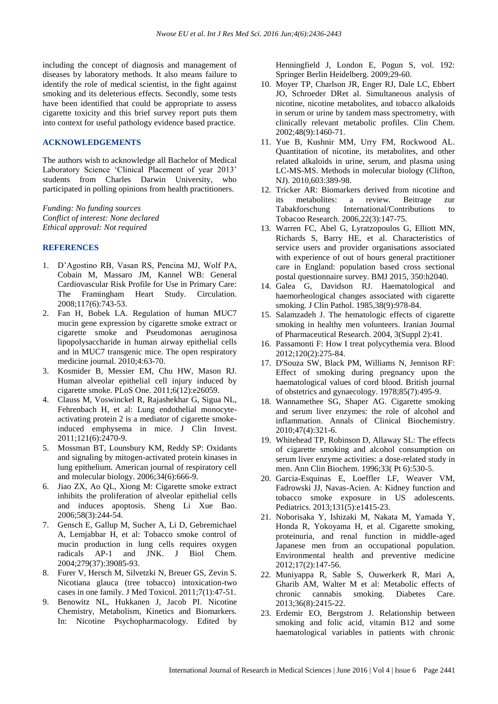including the concept of diagnosis and management of diseases by laboratory methods. It also means failure to identify the role of medical scientist, in the fight against smoking and its deleterious effects. Secondly, some tests have been identified that could be appropriate to assess cigarette toxicity and this brief survey report puts them into context for useful pathology evidence based practice.

#### **ACKNOWLEDGEMENTS**

The authors wish to acknowledge all Bachelor of Medical Laboratory Science 'Clinical Placement of year 2013' students from Charles Darwin University, who participated in polling opinions from health practitioners.

*Funding: No funding sources Conflict of interest: None declared Ethical approval: Not required*

#### **REFERENCES**

- 1. D"Agostino RB, Vasan RS, Pencina MJ, Wolf PA, Cobain M, Massaro JM, Kannel WB: General Cardiovascular Risk Profile for Use in Primary Care: The Framingham Heart Study. Circulation. 2008;117(6):743-53.
- 2. Fan H, Bobek LA. Regulation of human MUC7 mucin gene expression by cigarette smoke extract or cigarette smoke and Pseudomonas aeruginosa lipopolysaccharide in human airway epithelial cells and in MUC7 transgenic mice. The open respiratory medicine journal. 2010;4:63-70.
- 3. Kosmider B, Messier EM, Chu HW, Mason RJ. Human alveolar epithelial cell injury induced by cigarette smoke. PLoS One. 2011;6(12):e26059.
- 4. Clauss M, Voswinckel R, Rajashekhar G, Sigua NL, Fehrenbach H, et al: Lung endothelial monocyteactivating protein 2 is a mediator of cigarette smokeinduced emphysema in mice. J Clin Invest. 2011;121(6):2470-9.
- 5. Mossman BT, Lounsbury KM, Reddy SP: Oxidants and signaling by mitogen-activated protein kinases in lung epithelium. American journal of respiratory cell and molecular biology. 2006;34(6):666-9.
- 6. Jiao ZX, Ao QL, Xiong M: Cigarette smoke extract inhibits the proliferation of alveolar epithelial cells and induces apoptosis. Sheng Li Xue Bao. 2006;58(3):244-54.
- 7. Gensch E, Gallup M, Sucher A, Li D, Gebremichael A, Lemjabbar H, et al: Tobacco smoke control of mucin production in lung cells requires oxygen radicals AP-1 and JNK. J Biol Chem. 2004;279(37):39085-93.
- 8. Furer V, Hersch M, Silvetzki N, Breuer GS, Zevin S. Nicotiana glauca (tree tobacco) intoxication-two cases in one family. J Med Toxicol. 2011;7(1):47-51.
- 9. Benowitz NL, Hukkanen J, Jacob PI. Nicotine Chemistry, Metabolism, Kinetics and Biomarkers. In: Nicotine Psychopharmacology. Edited by

Henningfield J, London E, Pogun S, vol. 192: Springer Berlin Heidelberg. 2009;29-60.

- 10. Moyer TP, Charlson JR, Enger RJ, Dale LC, Ebbert JO, Schroeder DRet al. Simultaneous analysis of nicotine, nicotine metabolites, and tobacco alkaloids in serum or urine by tandem mass spectrometry, with clinically relevant metabolic profiles. Clin Chem. 2002;48(9):1460-71.
- 11. Yue B, Kushnir MM, Urry FM, Rockwood AL. Quantitation of nicotine, its metabolites, and other related alkaloids in urine, serum, and plasma using LC-MS-MS. Methods in molecular biology (Clifton, NJ). 2010,603:389-98.
- 12. Tricker AR: Biomarkers derived from nicotine and its metabolites: a review. Beitrage zur Tabakforschung International/Contributions to Tobacoo Research. 2006,22(3):147-75.
- 13. Warren FC, Abel G, Lyratzopoulos G, Elliott MN, Richards S, Barry HE, et al. Characteristics of service users and provider organisations associated with experience of out of hours general practitioner care in England: population based cross sectional postal questionnaire survey. BMJ 2015, 350:h2040.
- 14. Galea G, Davidson RJ. Haematological and haemorheological changes associated with cigarette smoking. J Clin Pathol. 1985,38(9):978-84.
- 15. Salamzadeh J. The hematologic effects of cigarette smoking in healthy men volunteers. Iranian Journal of Pharmaceutical Research. 2004, 3(Suppl 2):41.
- 16. Passamonti F: How I treat polycythemia vera. Blood 2012;120(2):275-84.
- 17. D'Souza SW, Black PM, Williams N, Jennison RF: Effect of smoking during pregnancy upon the haematological values of cord blood. British journal of obstetrics and gynaecology. 1978;85(7):495-9.
- 18. Wannamethee SG, Shaper AG. Cigarette smoking and serum liver enzymes: the role of alcohol and inflammation. Annals of Clinical Biochemistry. 2010;47(4):321-6.
- 19. Whitehead TP, Robinson D, Allaway SL: The effects of cigarette smoking and alcohol consumption on serum liver enzyme activities: a dose-related study in men. Ann Clin Biochem. 1996;33( Pt 6):530-5.
- 20. Garcia-Esquinas E, Loeffler LF, Weaver VM, Fadrowski JJ, Navas-Acien. A: Kidney function and tobacco smoke exposure in US adolescents. Pediatrics. 2013;131(5):e1415-23.
- 21. Noborisaka Y, Ishizaki M, Nakata M, Yamada Y, Honda R, Yokoyama H, et al. Cigarette smoking, proteinuria, and renal function in middle-aged Japanese men from an occupational population. Environmental health and preventive medicine 2012;17(2):147-56.
- 22. Muniyappa R, Sable S, Ouwerkerk R, Mari A, Gharib AM, Walter M et al: Metabolic effects of chronic cannabis smoking. Diabetes Care. 2013;36(8):2415-22.
- 23. Erdemir EO, Bergstrom J. Relationship between smoking and folic acid, vitamin B12 and some haematological variables in patients with chronic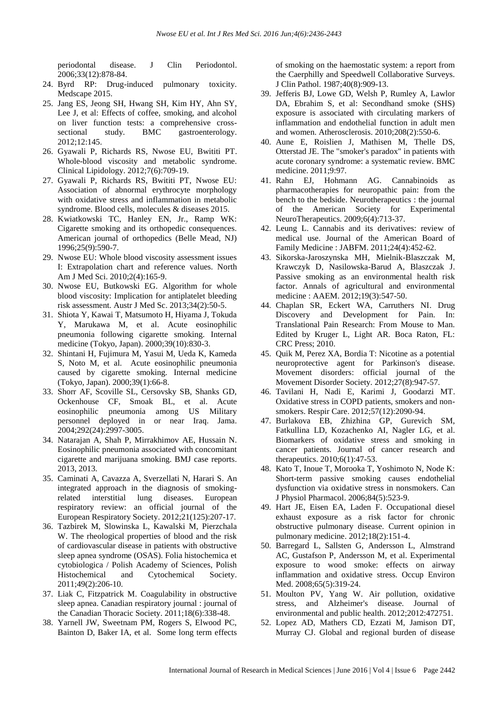periodontal disease. J Clin Periodontol. 2006;33(12):878-84.

- 24. Byrd RP: Drug-induced pulmonary toxicity. Medscape 2015.
- 25. Jang ES, Jeong SH, Hwang SH, Kim HY, Ahn SY, Lee J, et al: Effects of coffee, smoking, and alcohol on liver function tests: a comprehensive crosssectional study. BMC gastroenterology. 2012;12:145.
- 26. Gyawali P, Richards RS, Nwose EU, Bwititi PT. Whole-blood viscosity and metabolic syndrome. Clinical Lipidology. 2012;7(6):709-19.
- 27. Gyawali P, Richards RS, Bwititi PT, Nwose EU: Association of abnormal erythrocyte morphology with oxidative stress and inflammation in metabolic syndrome. Blood cells, molecules & diseases 2015.
- 28. Kwiatkowski TC, Hanley EN, Jr., Ramp WK: Cigarette smoking and its orthopedic consequences. American journal of orthopedics (Belle Mead, NJ) 1996;25(9):590-7.
- 29. Nwose EU: Whole blood viscosity assessment issues I: Extrapolation chart and reference values. North Am J Med Sci. 2010;2(4):165-9.
- 30. Nwose EU, Butkowski EG. Algorithm for whole blood viscosity: Implication for antiplatelet bleeding risk assessment. Austr J Med Sc. 2013;34(2):50-5.
- 31. Shiota Y, Kawai T, Matsumoto H, Hiyama J, Tokuda Y, Marukawa M, et al. Acute eosinophilic pneumonia following cigarette smoking. Internal medicine (Tokyo, Japan). 2000;39(10):830-3.
- 32. Shintani H, Fujimura M, Yasui M, Ueda K, Kameda S, Noto M, et al. Acute eosinophilic pneumonia caused by cigarette smoking. Internal medicine (Tokyo, Japan). 2000;39(1):66-8.
- 33. Shorr AF, Scoville SL, Cersovsky SB, Shanks GD, Ockenhouse CF, Smoak BL, et al. Acute eosinophilic pneumonia among US Military personnel deployed in or near Iraq. Jama. 2004;292(24):2997-3005.
- 34. Natarajan A, Shah P, Mirrakhimov AE, Hussain N. Eosinophilic pneumonia associated with concomitant cigarette and marijuana smoking. BMJ case reports. 2013, 2013.
- 35. Caminati A, Cavazza A, Sverzellati N, Harari S. An integrated approach in the diagnosis of smokingrelated interstitial lung diseases. European respiratory review: an official journal of the European Respiratory Society. 2012;21(125):207-17.
- 36. Tazbirek M, Slowinska L, Kawalski M, Pierzchala W. The rheological properties of blood and the risk of cardiovascular disease in patients with obstructive sleep apnea syndrome (OSAS). Folia histochemica et cytobiologica / Polish Academy of Sciences, Polish Histochemical and Cytochemical Society. 2011;49(2):206-10.
- 37. Liak C, Fitzpatrick M. Coagulability in obstructive sleep apnea. Canadian respiratory journal : journal of the Canadian Thoracic Society. 2011;18(6):338-48.
- 38. Yarnell JW, Sweetnam PM, Rogers S, Elwood PC, Bainton D, Baker IA, et al. Some long term effects

of smoking on the haemostatic system: a report from the Caerphilly and Speedwell Collaborative Surveys. J Clin Pathol. 1987;40(8):909-13.

- 39. Jefferis BJ, Lowe GD, Welsh P, Rumley A, Lawlor DA, Ebrahim S, et al: Secondhand smoke (SHS) exposure is associated with circulating markers of inflammation and endothelial function in adult men and women. Atherosclerosis. 2010;208(2):550-6.
- 40. Aune E, Roislien J, Mathisen M, Thelle DS, Otterstad JE. The "smoker's paradox" in patients with acute coronary syndrome: a systematic review. BMC medicine. 2011;9:97.
- 41. Rahn EJ, Hohmann AG. Cannabinoids as pharmacotherapies for neuropathic pain: from the bench to the bedside. Neurotherapeutics : the journal of the American Society for Experimental NeuroTherapeutics. 2009;6(4):713-37.
- 42. Leung L. Cannabis and its derivatives: review of medical use. Journal of the American Board of Family Medicine : JABFM. 2011;24(4):452-62.
- 43. Sikorska-Jaroszynska MH, Mielnik-Blaszczak M, Krawczyk D, Nasilowska-Barud A, Blaszczak J. Passive smoking as an environmental health risk factor. Annals of agricultural and environmental medicine : AAEM. 2012;19(3):547-50.
- 44. Chaplan SR, Eckert WA, Carruthers NI. Drug Discovery and Development for Pain. In: Translational Pain Research: From Mouse to Man. Edited by Kruger L, Light AR. Boca Raton, FL: CRC Press; 2010.
- 45. Quik M, Perez XA, Bordia T: Nicotine as a potential neuroprotective agent for Parkinson's disease. Movement disorders: official journal of the Movement Disorder Society. 2012;27(8):947-57.
- 46. Tavilani H, Nadi E, Karimi J, Goodarzi MT. Oxidative stress in COPD patients, smokers and nonsmokers. Respir Care. 2012;57(12):2090-94.
- 47. Burlakova EB, Zhizhina GP, Gurevich SM, Fatkullina LD, Kozachenko AI, Nagler LG, et al. Biomarkers of oxidative stress and smoking in cancer patients. Journal of cancer research and therapeutics. 2010;6(1):47-53.
- 48. Kato T, Inoue T, Morooka T, Yoshimoto N, Node K: Short-term passive smoking causes endothelial dysfunction via oxidative stress in nonsmokers. Can J Physiol Pharmacol. 2006;84(5):523-9.
- 49. Hart JE, Eisen EA, Laden F. Occupational diesel exhaust exposure as a risk factor for chronic obstructive pulmonary disease. Current opinion in pulmonary medicine. 2012;18(2):151-4.
- 50. Barregard L, Sallsten G, Andersson L, Almstrand AC, Gustafson P, Andersson M, et al. Experimental exposure to wood smoke: effects on airway inflammation and oxidative stress. Occup Environ Med. 2008:65(5):319-24.
- 51. Moulton PV, Yang W. Air pollution, oxidative stress, and Alzheimer's disease. Journal of environmental and public health. 2012;2012:472751.
- 52. Lopez AD, Mathers CD, Ezzati M, Jamison DT, Murray CJ. Global and regional burden of disease